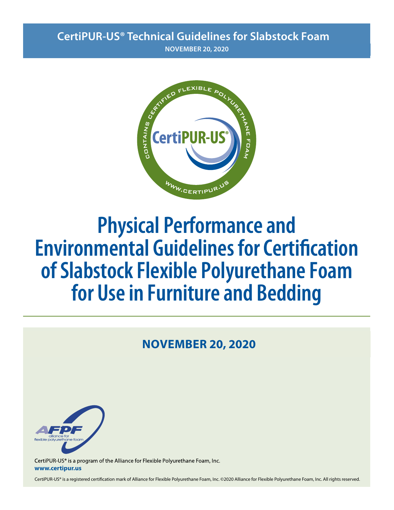# **CertiPUR-US® Technical Guidelines for Slabstock Foam**

**AUGUST 15, 2020 NOVEMBER 20, 2020**



# **Physical Performance and Environmental Guidelines for Certification of Slabstock Flexible Polyurethane Foam for Use in Furniture and Bedding**

# **AUGUST 15, 2020 NOVEMBER 20, 2020**



CertiPUR-US® is a program of the Alliance for Flexible Polyurethane Foam, Inc. **www.certipur.us**

CertiPUR-US® is a registered certification mark of Alliance for Flexible Polyurethane Foam, Inc. ©2020 Alliance for Flexible Polyurethane Foam, Inc. All rights reserved.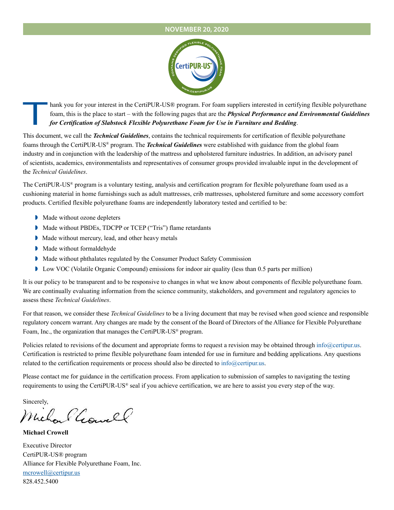#### **AUGUST 15, 2020 NOVEMBER 20, 2020**



Thank you for your interest in the CertiPUR-US® program. For foam suppliers interested in certifying flexible polyurethane<br>foam, this is the place to start – with the following pages that are the **Physical Performance and** foam, this is the place to start – with the following pages that are the *Physical Performance and Environmental Guidelines for Certification of Slabstock Flexible Polyurethane Foam for Use in Furniture and Bedding*.

This document, we call the *Technical Guidelines*, contains the technical requirements for certification of flexible polyurethane foams through the CertiPUR-US® program. The *Technical Guidelines* were established with guidance from the global foam industry and in conjunction with the leadership of the mattress and upholstered furniture industries. In addition, an advisory panel of scientists, academics, environmentalists and representatives of consumer groups provided invaluable input in the development of the *Technical Guidelines*.

The CertiPUR-US® program is a voluntary testing, analysis and certification program for flexible polyurethane foam used as a cushioning material in home furnishings such as adult mattresses, crib mattresses, upholstered furniture and some accessory comfort products. Certified flexible polyurethane foams are independently laboratory tested and certified to be:

- **■** Made without ozone depleters
- ◗ Made without PBDEs, TDCPP or TCEP ("Tris") flame retardants
- ◗ Made without mercury, lead, and other heavy metals
- ◗ Made without formaldehyde
- ◗ Made without phthalates regulated by the Consumer Product Safety Commission
- ◗ Low VOC (Volatile Organic Compound) emissions for indoor air quality (less than 0.5 parts per million)

It is our policy to be transparent and to be responsive to changes in what we know about components of flexible polyurethane foam. We are continually evaluating information from the science community, stakeholders, and government and regulatory agencies to assess these *Technical Guidelines*.

For that reason, we consider these *Technical Guidelines* to be a living document that may be revised when good science and responsible regulatory concern warrant. Any changes are made by the consent of the Board of Directors of the Alliance for Flexible Polyurethane Foam, Inc., the organization that manages the CertiPUR-US® program.

Policies related to revisions of the document and appropriate forms to request a revision may be obtained through info@certipur.us. Certification is restricted to prime flexible polyurethane foam intended for use in furniture and bedding applications. Any questions related to the certification requirements or process should also be directed to info@certipur.us.

Please contact me for guidance in the certification process. From application to submission of samples to navigating the testing requirements to using the CertiPUR-US® seal if you achieve certification, we are here to assist you every step of the way.

Sincerely,

Michael Gowell

**Michael Crowell**

Executive Director CertiPUR-US® program Alliance for Flexible Polyurethane Foam, Inc. mcrowell@certipur.us 828.452.5400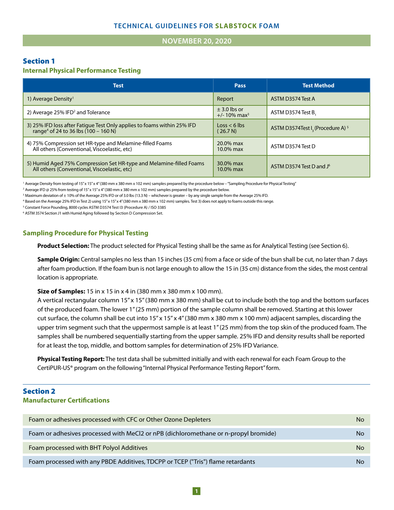#### **NOVEMBER 20, 2020 JANUARY 1, 2020**

### Section 1

### **Internal Physical Performance Testing**

| <b>Test</b>                                                                                                                   | Pass                                            | <b>Test Method</b>                                       |
|-------------------------------------------------------------------------------------------------------------------------------|-------------------------------------------------|----------------------------------------------------------|
| 1) Average Density <sup>1</sup>                                                                                               | Report                                          | ASTM D3574 Test A                                        |
| 2) Average 25% IFD <sup>2</sup> and Tolerance                                                                                 | $\pm$ 3.0 lbs or<br>$+/- 10\%$ max <sup>3</sup> | ASTM D3574 Test B.                                       |
| 3) 25% IFD loss after Fatique Test Only applies to foams within 25% IFD<br>range <sup>4</sup> of 24 to 36 lbs $(100 - 160 N)$ | $\text{Loss} < 6 \text{ lbs}$<br>(26.7 N)       | ASTM D3574Test I <sub>2</sub> (Procedure A) <sup>5</sup> |
| 4) 75% Compression set HR-type and Melamine-filled Foams<br>All others (Conventional, Viscoelastic, etc)                      | $20.0\%$ max<br>$10.0\%$ max                    | ASTM D3574 Test D                                        |
| 5) Humid Aged 75% Compression Set HR-type and Melamine-filled Foams<br>All others (Conventional, Viscoelastic, etc)           | 30.0% max<br>$10.0\%$ max                       | ASTM D3574 Test D and J <sup>6</sup>                     |

<sup>1</sup> Average Density from testing of 15"x 15"x 4" (380 mm x 380 mm x 102 mm) samples prepared by the procedure below - "Sampling Procedure for Physical Testing"

2 Average IFD @ 25% from testing of 15" x 15" x 4" (380 mm x 380 mm x 102 mm) samples prepared by the procedure below.

3 Maximum deviation of ± 10% of the Average 25% IFD or of 3.0 lbs (13.3 N) – whichever is greater – by any single sample from the Average 25% IFD.

4 Based on the Average 25% IFD in Test 2) using 15" x 15" x 4" (380 mm x 380 mm x 102 mm) samples. Test 3) does not apply to foams outside this range.

<sup>5</sup> Constant Force Pounding, 8000 cycles ASTM D3574 Test I3 (Procedure A) / ISO 3385

6 ASTM 3574 Section J1 with Humid Aging followed by Section D Compression Set.

#### **Sampling Procedure for Physical Testing**

**Product Selection:** The product selected for Physical Testing shall be the same as for Analytical Testing (see Section 6).

**Sample Origin:** Central samples no less than 15 inches (35 cm) from a face or side of the bun shall be cut, no later than 7 days after foam production. If the foam bun is not large enough to allow the 15 in (35 cm) distance from the sides, the most central location is appropriate.

**Size of Samples:** 15 in x 15 in x 4 in (380 mm x 380 mm x 100 mm).

A vertical rectangular column 15" x 15" (380 mm x 380 mm) shall be cut to include both the top and the bottom surfaces of the produced foam. The lower 1" (25 mm) portion of the sample column shall be removed. Starting at this lower cut surface, the column shall be cut into 15" x 15" x 4" (380 mm x 380 mm x 100 mm) adjacent samples, discarding the upper trim segment such that the uppermost sample is at least 1" (25 mm) from the top skin of the produced foam. The samples shall be numbered sequentially starting from the upper sample. 25% IFD and density results shall be reported for at least the top, middle, and bottom samples for determination of 25% IFD Variance.

**Physical Testing Report:** The test data shall be submitted initially and with each renewal for each Foam Group to the CertiPUR-US® program on the following "Internal Physical Performance Testing Report" form.

# Section 2 **Manufacturer Certifications**

| Foam or adhesives processed with CFC or Other Ozone Depleters                       | No        |
|-------------------------------------------------------------------------------------|-----------|
| Foam or adhesives processed with MeCl2 or nPB (dichloromethane or n-propyl bromide) | No        |
| Foam processed with BHT Polyol Additives                                            | <b>No</b> |
| Foam processed with any PBDE Additives, TDCPP or TCEP ("Tris") flame retardants     | No        |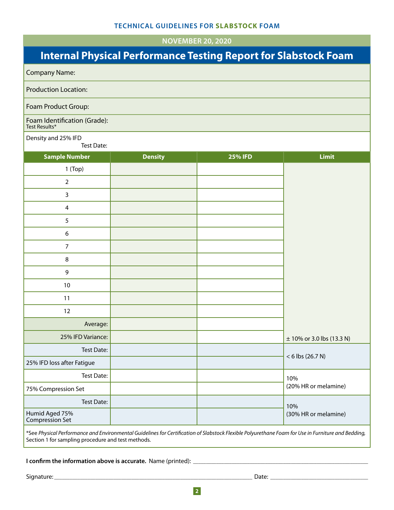**NOVEMBER 20, 2020** 

# **Internal Physical Performance Testing Report for Slabstock Foam**

| <b>Company Name:</b>                          |                |                |                               |
|-----------------------------------------------|----------------|----------------|-------------------------------|
| <b>Production Location:</b>                   |                |                |                               |
| Foam Product Group:                           |                |                |                               |
| Foam Identification (Grade):<br>Test Results* |                |                |                               |
| Density and 25% IFD<br>Test Date:             |                |                |                               |
| <b>Sample Number</b>                          | <b>Density</b> | <b>25% IFD</b> | Limit                         |
| $1$ (Top)                                     |                |                |                               |
| $\overline{2}$                                |                |                |                               |
| $\mathbf{3}$                                  |                |                |                               |
| $\overline{4}$                                |                |                |                               |
| 5                                             |                |                |                               |
| 6                                             |                |                |                               |
| $\overline{7}$                                |                |                |                               |
| $\,8\,$                                       |                |                |                               |
| 9                                             |                |                |                               |
| 10                                            |                |                |                               |
| 11                                            |                |                |                               |
| 12                                            |                |                |                               |
| Average:                                      |                |                |                               |
| 25% IFD Variance:                             |                |                | $\pm$ 10% or 3.0 lbs (13.3 N) |
| Test Date:                                    |                |                |                               |
| 25% IFD loss after Fatigue                    |                |                | $< 6$ lbs (26.7 N)            |
| Test Date:                                    |                |                | 10%                           |
| 75% Compression Set                           |                |                | (20% HR or melamine)          |
| Test Date:                                    |                |                | 10%                           |
| Humid Aged 75%<br>Compression Set             |                |                | (30% HR or melamine)          |

\*See *Physical Performance and Environmental Guidelines for Certification of Slabstock Flexible Polyurethane Foam for Use in Furniture and Bedding,* Section 1 for sampling procedure and test methods.

**I confirm the information above is accurate.** Name (printed): \_\_\_\_\_\_\_\_\_\_\_\_\_\_\_\_\_\_\_\_\_\_\_\_\_\_\_\_\_\_\_\_\_\_\_\_\_\_\_\_\_\_\_\_\_\_\_\_\_\_\_\_\_\_\_\_\_\_\_\_\_\_\_\_\_\_\_\_

Signature: \_\_\_\_\_\_\_\_\_\_\_\_\_\_\_\_\_\_\_\_\_\_\_\_\_\_\_\_\_\_\_\_\_\_\_\_\_\_\_\_\_\_\_\_\_\_\_\_\_\_\_\_\_\_\_\_\_\_\_\_\_\_\_\_\_\_\_\_\_\_\_\_\_\_\_\_\_ Date: \_\_\_\_\_\_\_\_\_\_\_\_\_\_\_\_\_\_\_\_\_\_\_\_\_\_\_\_\_\_\_\_\_\_\_\_\_\_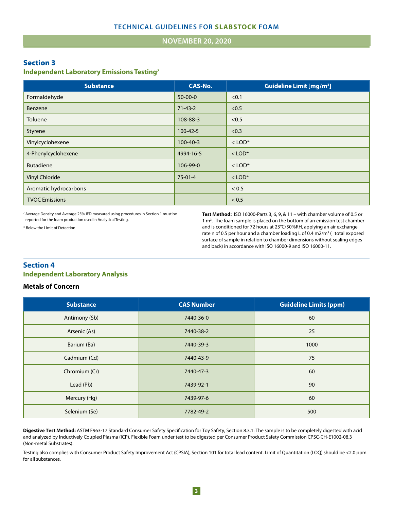#### **JANUARY 1, 2020 NOVEMBER 20, 2020**

#### Section 3

#### **Independent Laboratory Emissions Testing7**

| <b>Substance</b>      | <b>CAS-No.</b> | <b>Guideline Limit [mg/m<sup>3</sup>]</b> |
|-----------------------|----------------|-------------------------------------------|
| Formaldehyde          | $50-00-0$      | < 0.1                                     |
| Benzene               | $71 - 43 - 2$  | < 0.5                                     |
| Toluene               | 108-88-3       | < 0.5                                     |
| Styrene               | $100 - 42 - 5$ | < 0.3                                     |
| Vinylcyclohexene      | $100 - 40 - 3$ | $<$ LOD*                                  |
| 4-Phenylcyclohexene   | 4994-16-5      | $<$ LOD <sup>*</sup>                      |
| <b>Butadiene</b>      | 106-99-0       | $<$ LOD <sup>*</sup>                      |
| <b>Vinyl Chloride</b> | $75-01-4$      | $<$ LOD <sup>*</sup>                      |
| Aromatic hydrocarbons |                | < 0.5                                     |
| <b>TVOC Emissions</b> |                | < 0.5                                     |

<sup>7</sup> Average Density and Average 25% IFD measured using procedures in Section 1 must be reported for the foam production used in Analytical Testing.

\* Below the Limit of Detection

**Test Method:** ISO 16000-Parts 3, 6, 9, & 11 – with chamber volume of 0.5 or 1 m<sup>3</sup>. The foam sample is placed on the bottom of an emission test chamber and is conditioned for 72 hours at 23°C/50%RH, applying an air exchange rate n of 0.5 per hour and a chamber loading L of 0.4 m2/m<sup>3</sup> (=total exposed surface of sample in relation to chamber dimensions without sealing edges and back) in accordance with ISO 16000-9 and ISO 16000-11.

# **Section 4 Independent Laboratory Analysis**

#### **Metals of Concern**

| <b>Substance</b> | <b>CAS Number</b> | <b>Guideline Limits (ppm)</b> |
|------------------|-------------------|-------------------------------|
| Antimony (Sb)    | 7440-36-0         | 60                            |
| Arsenic (As)     | 7440-38-2         | 25                            |
| Barium (Ba)      | 7440-39-3         | 1000                          |
| Cadmium (Cd)     | 7440-43-9         | 75                            |
| Chromium (Cr)    | 7440-47-3         | 60                            |
| Lead (Pb)        | 7439-92-1         | 90                            |
| Mercury (Hg)     | 7439-97-6         | 60                            |
| Selenium (Se)    | 7782-49-2         | 500                           |

and analyzed by Inductively Coupled Plasma (ICP). Flexible Foam under test to be digested per Consumer Product Safety Commission CPSC-CH-E1002-08.3 **Digestive Test Method:** ASTM F963-17 Standard Consumer Safety Specification for Toy Safety, Section 8.3.1: The sample is to be completely digested with acid (Non-metal Substrates).

Testing also complies with Consumer Product Safety Improvement Act (CPSIA), Section 101 for total lead content. Limit of Quantitation (LOQ) should be <2.0 ppm for all substances.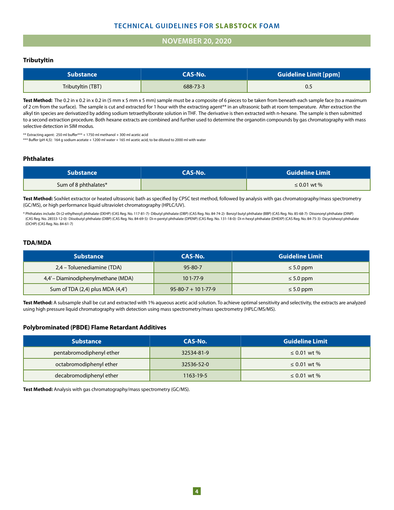# **TECHNICAL GUIDELINES FOR SLABSTOCK FOAM**

#### **NOVEMBER 20, 2020**

#### **Tributyltin**

| Substance \       | CAS-No.  | <b>Guideline Limit [ppm]</b> |
|-------------------|----------|------------------------------|
| Tributyltin (TBT) | 688-73-3 | 0.5                          |

Test Method: The 0.2 in x 0.2 in x 0.2 in (5 mm x 5 mm x 5 mm) sample must be a composite of 6 pieces to be taken from beneath each sample face (to a maximum of 2 cm from the surface). The sample is cut and extracted for 1 hour with the extracting agent\*\* in an ultrasonic bath at room temperature. After extraction the alkyl tin species are derivatized by adding sodium tetraethylborate solution in THF. The derivative is then extracted with n-hexane. The sample is then submitted to a second extraction procedure. Both hexane extracts are combined and further used to determine the organotin compounds by gas chromatography with mass selective detection in SIM modus.

\*\* Extracting agent: 250 ml buffer\*\*\* + 1750 ml methanol + 300 ml acetic acid

\*\*\* Buffer (pH 4,5): 164 g sodium acetate + 1200 ml water + 165 ml acetic acid, to be diluted to 2000 ml with water

#### **Phthalates**

| <b>Substance</b>     | <b>CAS-No.</b> | <b>Guideline Limit</b> |
|----------------------|----------------|------------------------|
| Sum of 8 phthalates* |                | $\leq 0.01$ wt %       |

**Test Method:** Soxhlet extractor or heated ultrasonic bath as specified by CPSC test method, followed by analysis with gas chromatography/mass spectrometry (GC/MS), or high performance liquid ultraviolet chromatography (HPLC/UV).

\* Phthalates include: Di-(2-ethylhexyl) phthalate (DEHP) (CAS Reg. No. 117-81-7)- Dibutyl phthalate (DBP) (CAS Reg. No. 84-74-2)- Benzyl butyl phthalate (BBP) (CAS Reg. No. 85-68-7)- Diisononyl phthalate (DINP) (CAS Reg. No. 28553-12-0)- Diisobutyl phthalate (DIBP) (CAS Reg. No. 84-69-5)- Di-n-pentyl phthalate (DPENP) (CAS Reg. No. 131-18-0)- Di-n-hexyl phthalate (DHEXP) (CAS Reg. No. 84-75-3)- Dicyclohexyl phthalate (DCHP) (CAS Reg. No. 84-61-7)

#### **TDA/MDA**

| <b>Substance</b>                     | CAS-No.                      | <b>Guideline Limit</b> |
|--------------------------------------|------------------------------|------------------------|
| 2,4 – Toluenediamine (TDA)           | $95 - 80 - 7$                | $\leq 5.0$ ppm         |
| 4,4' – Diaminodiphenylmethane (MDA)  | $101 - 77 - 9$               | $\leq 5.0$ ppm         |
| Sum of TDA $(2,4)$ plus MDA $(4,4')$ | $95 - 80 - 7 + 101 - 77 - 9$ | $\leq 5.0$ ppm         |

**Test Method:** A subsample shall be cut and extracted with 1% aqueous acetic acid solution. To achieve optimal sensitivity and selectivity, the extracts are analyzed using high pressure liquid chromatography with detection using mass spectrometry/mass spectrometry (HPLC/MS/MS).

#### **Polybrominated (PBDE) Flame Retardant Additives**

| <b>Substance</b>         | CAS-No.    | <b>Guideline Limit</b> |
|--------------------------|------------|------------------------|
| pentabromodiphenyl ether | 32534-81-9 | ≤ 0.01 wt %            |
| octabromodiphenyl ether  | 32536-52-0 | ≤ 0.01 wt %            |
| decabromodiphenyl ether  | 1163-19-5  | $\leq 0.01$ wt %       |

**Test Method:** Analysis with gas chromatography/mass spectrometry (GC/MS).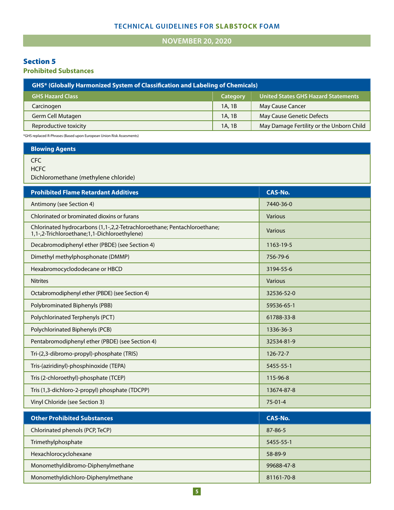# **TECHNICAL GUIDELINES FOR SLABSTOCK FOAM**

**NOVEMBER 20, 2020** 

# Section 5

**Prohibited Substances**

| <b>GHS*</b> (Globally Harmonized System of Classification and Labeling of Chemicals) |          |                                          |
|--------------------------------------------------------------------------------------|----------|------------------------------------------|
| <b>GHS Hazard Class</b>                                                              | Category | United States GHS Hazard Statements      |
| Carcinogen                                                                           | 1A, 1B   | <b>May Cause Cancer</b>                  |
| Germ Cell Mutagen                                                                    | 1A, 1B   | May Cause Genetic Defects                |
| Reproductive toxicity                                                                | 1A, 1B   | May Damage Fertility or the Unborn Child |
|                                                                                      |          |                                          |

\*GHS replaced R-Phrases (Based upon European Union Risk Assesments)

**Blowing Agents**

CFC

**HCFC** 

Dichloromethane (methylene chloride)

| <b>Prohibited Flame Retardant Additives</b>                                                                              | <b>CAS-No.</b> |
|--------------------------------------------------------------------------------------------------------------------------|----------------|
| Antimony (see Section 4)                                                                                                 | 7440-36-0      |
| Chlorinated or brominated dioxins or furans                                                                              | <b>Various</b> |
| Chlorinated hydrocarbons (1,1-,2,2-Tetrachloroethane; Pentachloroethane;<br>1,1-,2-Trichloroethane;1,1-Dichloroethylene) | <b>Various</b> |
| Decabromodiphenyl ether (PBDE) (see Section 4)                                                                           | 1163-19-5      |
| Dimethyl methylphosphonate (DMMP)                                                                                        | 756-79-6       |
| Hexabromocyclododecane or HBCD                                                                                           | 3194-55-6      |
| <b>Nitrites</b>                                                                                                          | Various        |
| Octabromodiphenyl ether (PBDE) (see Section 4)                                                                           | 32536-52-0     |
| Polybrominated Biphenyls (PBB)                                                                                           | 59536-65-1     |
| Polychlorinated Terphenyls (PCT)                                                                                         | 61788-33-8     |
| Polychlorinated Biphenyls (PCB)                                                                                          | 1336-36-3      |
| Pentabromodiphenyl ether (PBDE) (see Section 4)                                                                          | 32534-81-9     |
| Tri-(2,3-dibromo-propyl)-phosphate (TRIS)                                                                                | $126 - 72 - 7$ |
| Tris-(aziridinyl)-phosphinoxide (TEPA)                                                                                   | 5455-55-1      |
| Tris (2-chloroethyl)-phosphate (TCEP)                                                                                    | 115-96-8       |
| Tris (1,3-dichloro-2-propyl) phosphate (TDCPP)                                                                           | 13674-87-8     |
| Vinyl Chloride (see Section 3)                                                                                           | $75-01-4$      |
| <b>Other Prohibited Substances</b>                                                                                       | <b>CAS-No.</b> |
| Chlorinated phenols (PCP, TeCP)                                                                                          | 87-86-5        |
| Trimethylphosphate                                                                                                       | 5455-55-1      |
| Hexachlorocyclohexane                                                                                                    | 58-89-9        |
| Monomethyldibromo-Diphenylmethane                                                                                        | 99688-47-8     |
| Monomethyldichloro-Diphenylmethane                                                                                       | 81161-70-8     |
|                                                                                                                          |                |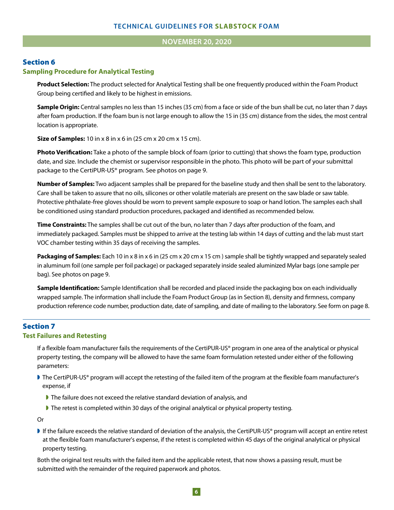#### **NOVEMBER 20, 2020**

# Section 6

#### **Sampling Procedure for Analytical Testing**

**Product Selection:** The product selected for Analytical Testing shall be one frequently produced within the Foam Product Group being certified and likely to be highest in emissions.

**Sample Origin:** Central samples no less than 15 inches (35 cm) from a face or side of the bun shall be cut, no later than 7 days after foam production. If the foam bun is not large enough to allow the 15 in (35 cm) distance from the sides, the most central location is appropriate.

**Size of Samples:** 10 in x 8 in x 6 in (25 cm x 20 cm x 15 cm).

**Photo Verification:** Take a photo of the sample block of foam (prior to cutting) that shows the foam type, production date, and size. Include the chemist or supervisor responsible in the photo. This photo will be part of your submittal package to the CertiPUR-US® program. See photos on page 9.

**Number of Samples:** Two adjacent samples shall be prepared for the baseline study and then shall be sent to the laboratory. Care shall be taken to assure that no oils, silicones or other volatile materials are present on the saw blade or saw table. Protective phthalate-free gloves should be worn to prevent sample exposure to soap or hand lotion. The samples each shall be conditioned using standard production procedures, packaged and identified as recommended below.

**Time Constraints:** The samples shall be cut out of the bun, no later than 7 days after production of the foam, and immediately packaged. Samples must be shipped to arrive at the testing lab within 14 days of cutting and the lab must start VOC chamber testing within 35 days of receiving the samples.

**Packaging of Samples:** Each 10 in x 8 in x 6 in (25 cm x 20 cm x 15 cm ) sample shall be tightly wrapped and separately sealed in aluminum foil (one sample per foil package) or packaged separately inside sealed aluminized Mylar bags (one sample per bag). See photos on page 9.

**Sample Identification:** Sample Identification shall be recorded and placed inside the packaging box on each individually wrapped sample. The information shall include the Foam Product Group (as in Section 8), density and firmness, company production reference code number, production date, date of sampling, and date of mailing to the laboratory. See form on page 8.

# Section 7

#### **Test Failures and Retesting**

If a flexible foam manufacturer fails the requirements of the CertiPUR-US® program in one area of the analytical or physical property testing, the company will be allowed to have the same foam formulation retested under either of the following parameters:

- The CertiPUR-US® program will accept the retesting of the failed item of the program at the flexible foam manufacturer's expense, if
	- The failure does not exceed the relative standard deviation of analysis, and
	- ◗ The retest is completed within 30 days of the original analytical or physical property testing.

Or

◗ If the failure exceeds the relative standard of deviation of the analysis, the CertiPUR-US® program will accept an entire retest at the flexible foam manufacturer's expense, if the retest is completed within 45 days of the original analytical or physical property testing.

Both the original test results with the failed item and the applicable retest, that now shows a passing result, must be submitted with the remainder of the required paperwork and photos.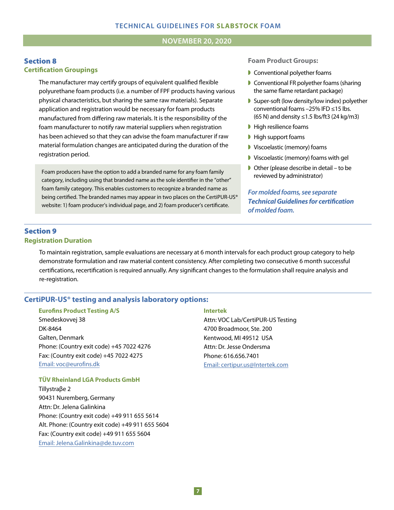#### **JANUARY 1, 2020 NOVEMBER 20, 2020**

#### Section 8 **Certification Groupings**

The manufacturer may certify groups of equivalent qualified flexible polyurethane foam products (i.e. a number of FPF products having various physical characteristics, but sharing the same raw materials). Separate application and registration would be necessary for foam products manufactured from differing raw materials. It is the responsibility of the foam manufacturer to notify raw material suppliers when registration has been achieved so that they can advise the foam manufacturer if raw material formulation changes are anticipated during the duration of the registration period.

Foam producers have the option to add a branded name for any foam family category, including using that branded name as the sole identifier in the "other" foam family category. This enables customers to recognize a branded name as being certified. The branded names may appear in two places on the CertiPUR-US® website: 1) foam producer's individual page, and 2) foam producer's certificate.

#### **Foam Product Groups:**

- ◗ Conventional polyether foams
- Conventional FR polyether foams (sharing the same flame retardant package)
- ◗ Super-soft (low density/low index) polyether conventional foams –25% IFD ≤15 lbs. (65 N) and density ≤1.5 lbs/ft3 (24 kg/m3)
- High resilience foams
- High support foams
- ◗ Viscoelastic (memory) foams
- ◗ Viscoelastic (memory) foams with gel
- ◗ Other (please describe in detail to be reviewed by administrator)

*For molded foams, see separate Technical Guidelines for certication of molded foam.*

# Section 9 **Registration Duration**

To maintain registration, sample evaluations are necessary at 6 month intervals for each product group category to help demonstrate formulation and raw material content consistency. After completing two consecutive 6 month successful certifications, recertification is required annually. Any significant changes to the formulation shall require analysis and re-registration.

### **CertiPUR-US® testing and analysis laboratory options:**

#### **Eurofins Product Testing A/S**

Smedeskovvej 38 DK-8464 Galten, Denmark Phone: (Country exit code) +45 7022 4276 Fax: (Country exit code) +45 7022 4275 Email: voc@eurofins.dk

#### **TÜV Rheinland LGA Products GmbH**

Tillystraβe 2 90431 Nuremberg, Germany Attn: Dr. Jelena Galinkina Phone: (Country exit code) +49 911 655 5614 Alt. Phone: (Country exit code) +49 911 655 5604 Fax: (Country exit code) +49 911 655 5604 Email: Jelena.Galinkina@de.tuv.com

#### **Intertek**

Attn: VOC Lab/CertiPUR-US Testing 4700 Broadmoor, Ste. 200 Kentwood, MI 49512 USA Attn: Dr. Jesse Ondersma Phone: 616.656.7401 Email: certipur.us@Intertek.com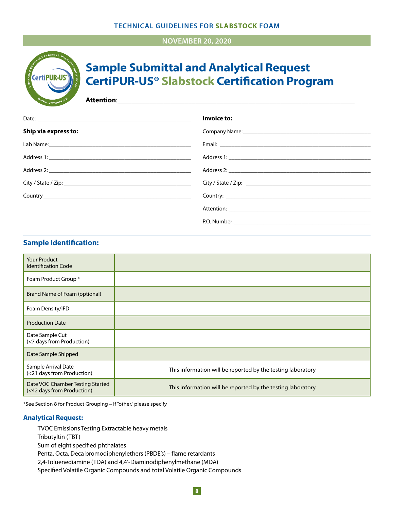### **TECHNICAL GUIDELINES FOR SLABSTOCK FOAM**

# **NOVEMBER 20, 2020**



# **Sample Submittal and Analytical Request CertiPUR-US® Slabstock Certification Program**

**Attention:** 

|                      | Invoice to: |
|----------------------|-------------|
| Ship via express to: |             |
|                      |             |
|                      |             |
|                      |             |
|                      |             |
|                      |             |
|                      |             |
|                      |             |

# **Sample Identification:**

| <b>Your Product</b><br><b>Identification Code</b>              |                                                             |
|----------------------------------------------------------------|-------------------------------------------------------------|
| Foam Product Group *                                           |                                                             |
| Brand Name of Foam (optional)                                  |                                                             |
| Foam Density/IFD                                               |                                                             |
| <b>Production Date</b>                                         |                                                             |
| Date Sample Cut<br>(<7 days from Production)                   |                                                             |
| Date Sample Shipped                                            |                                                             |
| Sample Arrival Date<br>(<21 days from Production)              | This information will be reported by the testing laboratory |
| Date VOC Chamber Testing Started<br>(<42 days from Production) | This information will be reported by the testing laboratory |

\*See Section 8 for Product Grouping – If "other," please specify

#### **Analytical Request:**

TVOC Emissions Testing Extractable heavy metals Tributyltin (TBT) Sum of eight specified phthalates Penta, Octa, Deca bromodiphenylethers (PBDE's) – flame retardants 2,4-Toluenediamine (TDA) and 4,4'-Diaminodiphenylmethane (MDA) Specified Volatile Organic Compounds and total Volatile Organic Compounds